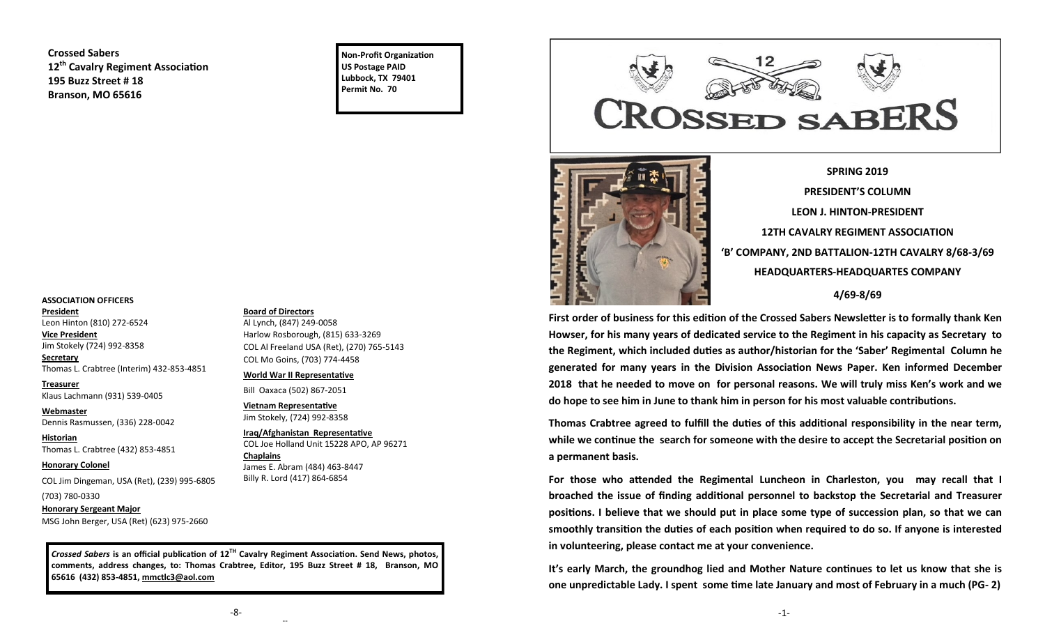**Crossed Sabers 12th Cavalry Regiment Association 195 Buzz Street # 18 Branson, MO 65616**

**Non-Profit Organization US Postage PAID Lubbock, TX 79401 Permit No. 70**





**SPRING 2019 PRESIDENT'S COLUMN LEON J. HINTON-PRESIDENT 12TH CAVALRY REGIMENT ASSOCIATION 'B' COMPANY, 2ND BATTALION-12TH CAVALRY 8/68-3/69 HEADQUARTERS-HEADQUARTES COMPANY 4/69-8/69**

**First order of business for this edition of the Crossed Sabers Newsletter is to formally thank Ken Howser, for his many years of dedicated service to the Regiment in his capacity as Secretary to the Regiment, which included duties as author/historian for the 'Saber' Regimental Column he generated for many years in the Division Association News Paper. Ken informed December 2018 that he needed to move on for personal reasons. We will truly miss Ken's work and we do hope to see him in June to thank him in person for his most valuable contributions.**

**Thomas Crabtree agreed to fulfill the duties of this additional responsibility in the near term, while we continue the search for someone with the desire to accept the Secretarial position on a permanent basis.**

**For those who attended the Regimental Luncheon in Charleston, you may recall that I broached the issue of finding additional personnel to backstop the Secretarial and Treasurer positions. I believe that we should put in place some type of succession plan, so that we can smoothly transition the duties of each position when required to do so. If anyone is interested in volunteering, please contact me at your convenience.**

**It's early March, the groundhog lied and Mother Nature continues to let us know that she is one unpredictable Lady. I spent some time late January and most of February in a much (PG- 2)** 

#### **ASSOCIATION OFFICERS President**

Leon Hinton (810) 272-6524

**Vice President**

Jim Stokely (724) 992-8358 **Secretary**

Thomas L. Crabtree (Interim) 432-853-4851

**Treasurer** Klaus Lachmann (931) 539-0405

**Webmaster** Dennis Rasmussen, (336) 228-0042

**Historian** Thomas L. Crabtree (432) 853-4851

# **Honorary Colonel**

COL Jim Dingeman, USA (Ret), (239) 995-6805

(703) 780-0330

# **Honorary Sergeant Major**

MSG John Berger, USA (Ret) (623) 975-2660

*Crossed Sabers* **is an official publication of 12TH Cavalry Regiment Association. Send News, photos, comments, address changes, to: Thomas Crabtree, Editor, 195 Buzz Street # 18, Branson, MO 65616 (432) 853-4851, mmctlc3@aol.com**

# **Board of Directors**

Al Lynch, (847) 249-0058 Harlow Rosborough, (815) 633-3269 COL Al Freeland USA (Ret), (270) 765-5143 COL Mo Goins, (703) 774-4458

# **World War II Representative**

Bill Oaxaca (502) 867-2051

--

**Vietnam Representative** Jim Stokely, (724) 992-8358

**Iraq/Afghanistan Representative** COL Joe Holland Unit 15228 APO, AP 96271 **Chaplains** James E. Abram (484) 463-8447 Billy R. Lord (417) 864-6854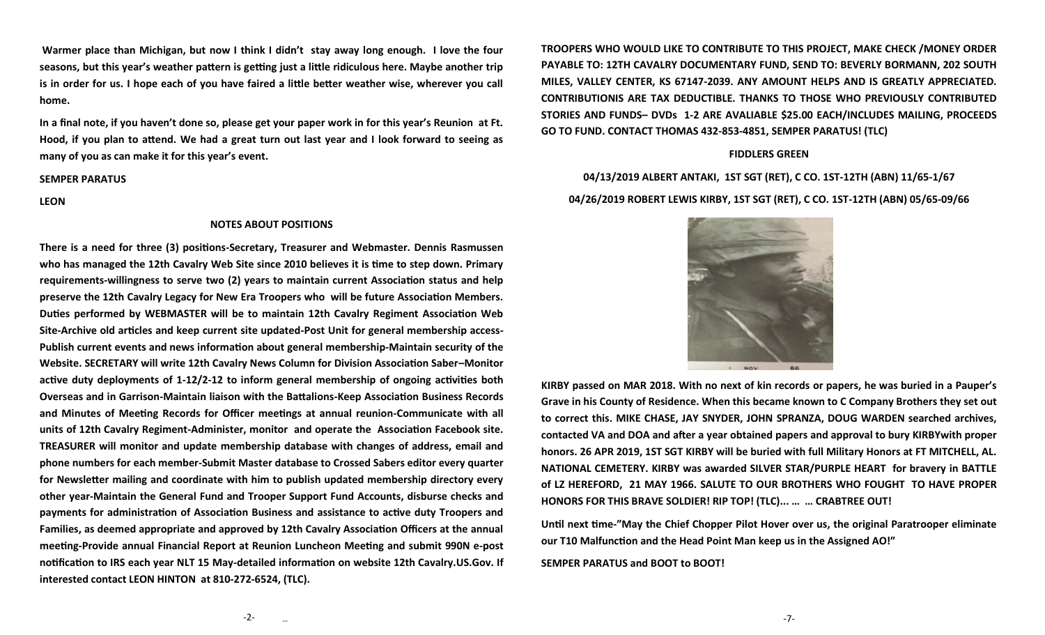**Warmer place than Michigan, but now I think I didn't stay away long enough. I love the four seasons, but this year's weather pattern is getting just a little ridiculous here. Maybe another trip is in order for us. I hope each of you have faired a little better weather wise, wherever you call home.** 

**In a final note, if you haven't done so, please get your paper work in for this year's Reunion at Ft. Hood, if you plan to attend. We had a great turn out last year and I look forward to seeing as many of you as can make it for this year's event.**

# **SEMPER PARATUS**

#### **LEON**

## **NOTES ABOUT POSITIONS**

**There is a need for three (3) positions-Secretary, Treasurer and Webmaster. Dennis Rasmussen who has managed the 12th Cavalry Web Site since 2010 believes it is time to step down. Primary requirements-willingness to serve two (2) years to maintain current Association status and help preserve the 12th Cavalry Legacy for New Era Troopers who will be future Association Members. Duties performed by WEBMASTER will be to maintain 12th Cavalry Regiment Association Web Site-Archive old articles and keep current site updated-Post Unit for general membership access-Publish current events and news information about general membership-Maintain security of the Website. SECRETARY will write 12th Cavalry News Column for Division Association Saber–Monitor active duty deployments of 1-12/2-12 to inform general membership of ongoing activities both Overseas and in Garrison-Maintain liaison with the Battalions-Keep Association Business Records and Minutes of Meeting Records for Officer meetings at annual reunion-Communicate with all units of 12th Cavalry Regiment-Administer, monitor and operate the Association Facebook site. TREASURER will monitor and update membership database with changes of address, email and phone numbers for each member-Submit Master database to Crossed Sabers editor every quarter for Newsletter mailing and coordinate with him to publish updated membership directory every other year-Maintain the General Fund and Trooper Support Fund Accounts, disburse checks and payments for administration of Association Business and assistance to active duty Troopers and Families, as deemed appropriate and approved by 12th Cavalry Association Officers at the annual meeting-Provide annual Financial Report at Reunion Luncheon Meeting and submit 990N e-post notification to IRS each year NLT 15 May-detailed information on website 12th Cavalry.US.Gov. If interested contact LEON HINTON at 810-272-6524, (TLC).**

**TROOPERS WHO WOULD LIKE TO CONTRIBUTE TO THIS PROJECT, MAKE CHECK /MONEY ORDER PAYABLE TO: 12TH CAVALRY DOCUMENTARY FUND, SEND TO: BEVERLY BORMANN, 202 SOUTH MILES, VALLEY CENTER, KS 67147-2039. ANY AMOUNT HELPS AND IS GREATLY APPRECIATED. CONTRIBUTIONIS ARE TAX DEDUCTIBLE. THANKS TO THOSE WHO PREVIOUSLY CONTRIBUTED STORIES AND FUNDS– DVDs 1-2 ARE AVALIABLE \$25.00 EACH/INCLUDES MAILING, PROCEEDS GO TO FUND. CONTACT THOMAS 432-853-4851, SEMPER PARATUS! (TLC)**

#### **FIDDLERS GREEN**

**04/13/2019 ALBERT ANTAKI, 1ST SGT (RET), C CO. 1ST-12TH (ABN) 11/65-1/67**

# **04/26/2019 ROBERT LEWIS KIRBY, 1ST SGT (RET), C CO. 1ST-12TH (ABN) 05/65-09/66**



**KIRBY passed on MAR 2018. With no next of kin records or papers, he was buried in a Pauper's Grave in his County of Residence. When this became known to C Company Brothers they set out to correct this. MIKE CHASE, JAY SNYDER, JOHN SPRANZA, DOUG WARDEN searched archives, contacted VA and DOA and after a year obtained papers and approval to bury KIRBYwith proper honors. 26 APR 2019, 1ST SGT KIRBY will be buried with full Military Honors at FT MITCHELL, AL. NATIONAL CEMETERY. KIRBY was awarded SILVER STAR/PURPLE HEART for bravery in BATTLE of LZ HEREFORD, 21 MAY 1966. SALUTE TO OUR BROTHERS WHO FOUGHT TO HAVE PROPER HONORS FOR THIS BRAVE SOLDIER! RIP TOP! (TLC)... … … CRABTREE OUT!**

**Until next time-"May the Chief Chopper Pilot Hover over us, the original Paratrooper eliminate our T10 Malfunction and the Head Point Man keep us in the Assigned AO!"**

**SEMPER PARATUS and BOOT to BOOT!** 

 $-2$ -  $-7$ -

--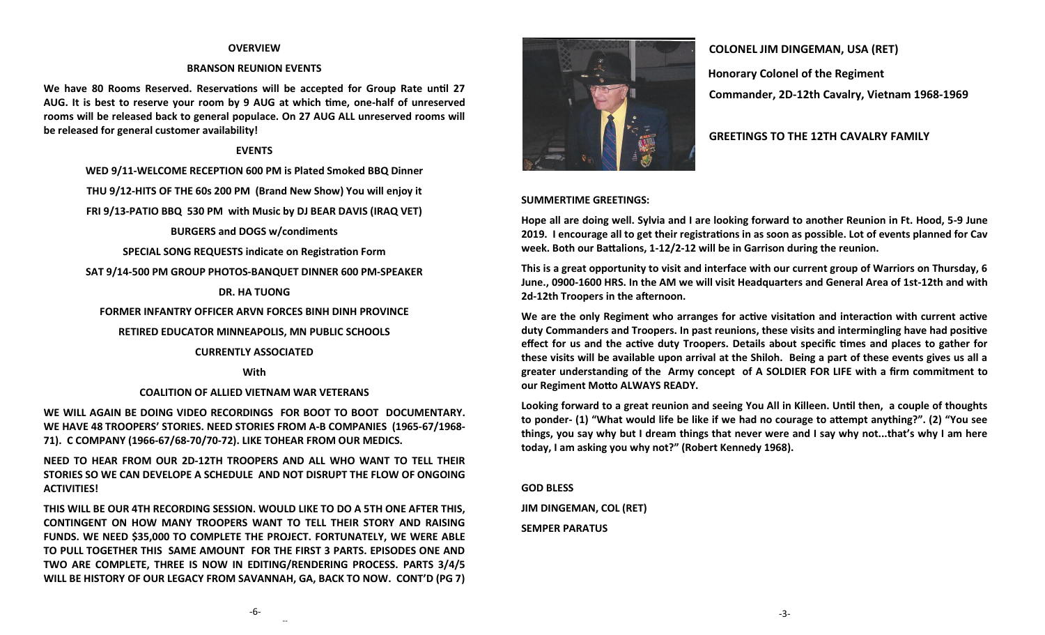# **OVERVIEW**

# **BRANSON REUNION EVENTS**

**We have 80 Rooms Reserved. Reservations will be accepted for Group Rate until 27 AUG. It is best to reserve your room by 9 AUG at which time, one-half of unreserved rooms will be released back to general populace. On 27 AUG ALL unreserved rooms will be released for general customer availability!** 

# **EVENTS**

**WED 9/11-WELCOME RECEPTION 600 PM is Plated Smoked BBQ Dinner**

**THU 9/12-HITS OF THE 60s 200 PM (Brand New Show) You will enjoy it**

**FRI 9/13-PATIO BBQ 530 PM with Music by DJ BEAR DAVIS (IRAQ VET)** 

**BURGERS and DOGS w/condiments**

**SPECIAL SONG REQUESTS indicate on Registration Form**

## **SAT 9/14-500 PM GROUP PHOTOS-BANQUET DINNER 600 PM-SPEAKER**

# **DR. HA TUONG**

**FORMER INFANTRY OFFICER ARVN FORCES BINH DINH PROVINCE**

## **RETIRED EDUCATOR MINNEAPOLIS, MN PUBLIC SCHOOLS**

#### **CURRENTLY ASSOCIATED**

**With**

#### **COALITION OF ALLIED VIETNAM WAR VETERANS**

**WE WILL AGAIN BE DOING VIDEO RECORDINGS FOR BOOT TO BOOT DOCUMENTARY. WE HAVE 48 TROOPERS' STORIES. NEED STORIES FROM A-B COMPANIES (1965-67/1968- 71). C COMPANY (1966-67/68-70/70-72). LIKE TOHEAR FROM OUR MEDICS.**

**NEED TO HEAR FROM OUR 2D-12TH TROOPERS AND ALL WHO WANT TO TELL THEIR STORIES SO WE CAN DEVELOPE A SCHEDULE AND NOT DISRUPT THE FLOW OF ONGOING ACTIVITIES!**

**THIS WILL BE OUR 4TH RECORDING SESSION. WOULD LIKE TO DO A 5TH ONE AFTER THIS, CONTINGENT ON HOW MANY TROOPERS WANT TO TELL THEIR STORY AND RAISING FUNDS. WE NEED \$35,000 TO COMPLETE THE PROJECT. FORTUNATELY, WE WERE ABLE TO PULL TOGETHER THIS SAME AMOUNT FOR THE FIRST 3 PARTS. EPISODES ONE AND TWO ARE COMPLETE, THREE IS NOW IN EDITING/RENDERING PROCESS. PARTS 3/4/5 WILL BE HISTORY OF OUR LEGACY FROM SAVANNAH, GA, BACK TO NOW. CONT'D (PG 7)**



# **COLONEL JIM DINGEMAN, USA (RET)**

 **Honorary Colonel of the Regiment Commander, 2D-12th Cavalry, Vietnam 1968-1969**

# **GREETINGS TO THE 12TH CAVALRY FAMILY**

# **SUMMERTIME GREETINGS:**

**Hope all are doing well. Sylvia and I are looking forward to another Reunion in Ft. Hood, 5-9 June 2019. I encourage all to get their registrations in as soon as possible. Lot of events planned for Cav week. Both our Battalions, 1-12/2-12 will be in Garrison during the reunion.**

**This is a great opportunity to visit and interface with our current group of Warriors on Thursday, 6 June., 0900-1600 HRS. In the AM we will visit Headquarters and General Area of 1st-12th and with 2d-12th Troopers in the afternoon.** 

**We are the only Regiment who arranges for active visitation and interaction with current active duty Commanders and Troopers. In past reunions, these visits and intermingling have had positive effect for us and the active duty Troopers. Details about specific times and places to gather for these visits will be available upon arrival at the Shiloh. Being a part of these events gives us all a greater understanding of the Army concept of A SOLDIER FOR LIFE with a firm commitment to our Regiment Motto ALWAYS READY.**

**Looking forward to a great reunion and seeing You All in Killeen. Until then, a couple of thoughts to ponder- (1) "What would life be like if we had no courage to attempt anything?". (2) "You see things, you say why but I dream things that never were and I say why not...that's why I am here today, I am asking you why not?" (Robert Kennedy 1968).**

**GOD BLESS**

**JIM DINGEMAN, COL (RET)**

**SEMPER PARATUS**

--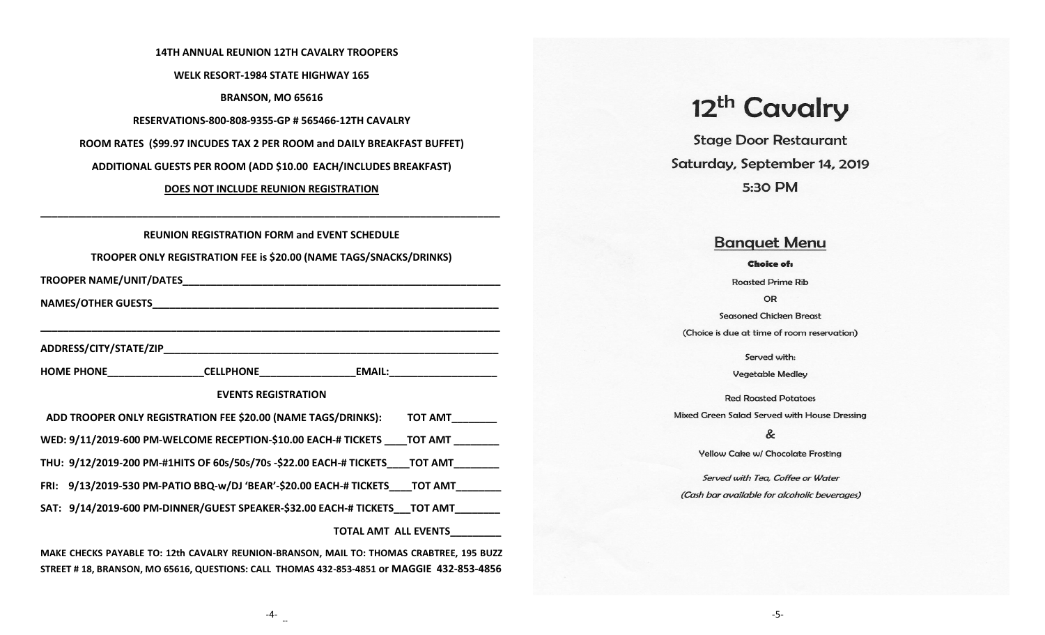**14TH ANNUAL REUNION 12TH CAVALRY TROOPERS**

**WELK RESORT-1984 STATE HIGHWAY 165**

**BRANSON, MO 65616**

**RESERVATIONS-800-808-9355-GP # 565466-12TH CAVALRY**

**ROOM RATES (\$99.97 INCUDES TAX 2 PER ROOM and DAILY BREAKFAST BUFFET)**

**ADDITIONAL GUESTS PER ROOM (ADD \$10.00 EACH/INCLUDES BREAKFAST)**

## **DOES NOT INCLUDE REUNION REGISTRATION**

**\_\_\_\_\_\_\_\_\_\_\_\_\_\_\_\_\_\_\_\_\_\_\_\_\_\_\_\_\_\_\_\_\_\_\_\_\_\_\_\_\_\_\_\_\_\_\_\_\_\_\_\_\_\_\_\_\_\_\_\_\_\_\_\_\_\_\_\_\_\_\_\_\_\_\_\_\_\_\_\_\_**

#### **REUNION REGISTRATION FORM and EVENT SCHEDULE**

**TROOPER ONLY REGISTRATION FEE is \$20.00 (NAME TAGS/SNACKS/DRINKS)**

**\_\_\_\_\_\_\_\_\_\_\_\_\_\_\_\_\_\_\_\_\_\_\_\_\_\_\_\_\_\_\_\_\_\_\_\_\_\_\_\_\_\_\_\_\_\_\_\_\_\_\_\_\_\_\_\_\_\_\_\_\_\_\_\_\_\_\_\_\_\_\_\_\_\_\_\_\_\_\_\_\_**

**TROOPER NAME/UNIT/DATES\_\_\_\_\_\_\_\_\_\_\_\_\_\_\_\_\_\_\_\_\_\_\_\_\_\_\_\_\_\_\_\_\_\_\_\_\_\_\_\_\_\_\_\_\_\_\_\_\_\_\_\_\_\_\_\_**

**NAMES/OTHER GUESTS\_\_\_\_\_\_\_\_\_\_\_\_\_\_\_\_\_\_\_\_\_\_\_\_\_\_\_\_\_\_\_\_\_\_\_\_\_\_\_\_\_\_\_\_\_\_\_\_\_\_\_\_\_\_\_\_\_\_\_\_\_** 

**ADDRESS/CITY/STATE/ZIP\_\_\_\_\_\_\_\_\_\_\_\_\_\_\_\_\_\_\_\_\_\_\_\_\_\_\_\_\_\_\_\_\_\_\_\_\_\_\_\_\_\_\_\_\_\_\_\_\_\_\_\_\_\_\_\_\_\_\_**

**HOME PHONE\_\_\_\_\_\_\_\_\_\_\_\_\_\_\_\_\_CELLPHONE\_\_\_\_\_\_\_\_\_\_\_\_\_\_\_\_\_EMAIL:\_\_\_\_\_\_\_\_\_\_\_\_\_\_\_\_\_\_\_**

**EVENTS REGISTRATION**

**ADD TROOPER ONLY REGISTRATION FEE \$20.00 (NAME TAGS/DRINKS): TOT AMT\_\_\_\_\_\_\_\_**

**WED: 9/11/2019-600 PM-WELCOME RECEPTION-\$10.00 EACH-# TICKETS \_\_\_\_TOT AMT \_\_\_\_\_\_\_\_**

**THU: 9/12/2019-200 PM-#1HITS OF 60s/50s/70s -\$22.00 EACH-# TICKETS\_\_\_\_TOT AMT\_\_\_\_\_\_\_\_**

**FRI: 9/13/2019-530 PM-PATIO BBQ-w/DJ 'BEAR'-\$20.00 EACH-# TICKETS\_\_\_\_TOT AMT\_\_\_\_\_\_\_\_**

**SAT: 9/14/2019-600 PM-DINNER/GUEST SPEAKER-\$32.00 EACH-# TICKETS\_\_\_TOT AMT\_\_\_\_\_\_\_\_**

 **TOTAL AMT ALL EVENTS\_\_\_\_\_\_\_\_\_** 

**MAKE CHECKS PAYABLE TO: 12th CAVALRY REUNION-BRANSON, MAIL TO: THOMAS CRABTREE, 195 BUZZ STREET # 18, BRANSON, MO 65616, QUESTIONS: CALL THOMAS 432-853-4851 or MAGGIE 432-853-4856** 

# 12th Cavalry

**Stage Door Restaurant** Saturday, September 14, 2019 5:30 PM

# **Banquet Menu**

#### **Choice of:**

**Roasted Prime Rib** 

OR

**Seasoned Chicken Breast** 

(Choice is due at time of room reservation)

Served with:

**Vegetable Medley** 

**Red Roasted Potatoes** 

Mixed Green Salad Served with House Dressing

&

Yellow Cake w/ Chocolate Frosting

Served with Tea, Coffee or Water (Cash bar available for alcoholic beverages)

--